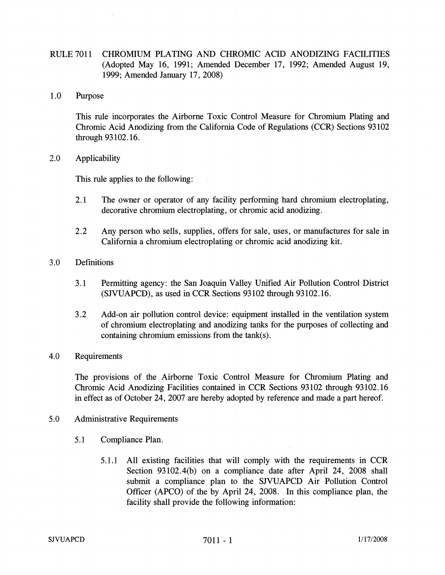# RULE 7011 CHROMIUM PLATING AND CHROMIC ACID ANODIZING FACILITIES (Adopted May 16, 1991; Amended December 17, 1992; Amended August 19, 1999; Amended January 17, 2008)

### 1.0 Purpose

This rule incorporates the Airborne Toxic Control Measure for Chromium Plating and Chromic Acid Anodizing from the California Code of Regulations (CCR) Sections 93102 through 93 102.16.

# 2.0 Applicability

This rule applies to the following:

- 2.1 The owner or operator of any facility performing hard chromium electroplating, decorative chromium electroplating, or chromic acid anodizing.
- 2.2 Any person who sells, supplies, offers for sale, uses, or manufactures for sale in California a chromium electroplating or chromic acid anodizing kit.

# 3.0 Definitions

- 3.1 Permitting agency: the San Joaquin Valley Unified Air Pollution Control District (SJVUAPCD), as used in CCR Sections 93102 through 93102.16.
- 3.2 Add-on air pollution control device: equipment installed in the ventilation system of chromium electroplating and anodizing tanks for the purposes of collecting and containing chromium emissions from the tank(s).

# 4.0 Requirements

The provisions of the Airborne Toxic Control Measure for Chromium Plating and Chromic Acid Anodizing Facilities contained in CCR Sections 93102 through 93102.16 in effect as of October 24, 2007 are hereby adopted by reference and made a part hereof.

#### 5.0 Administrative Requirements

- 5.1 Compliance Plan.
	- 5.1.1 All existing facilities that will comply with the requirements in CCR Section 93102.4(b) on a compliance date after April 24, 2008 shall submit a compliance plan to the SJVUAPCD Air Pollution Control Officer (APCO) of the by April 24, 2008. In this compliance plan, the facility shall provide the following information:

#### $7011 - 1$